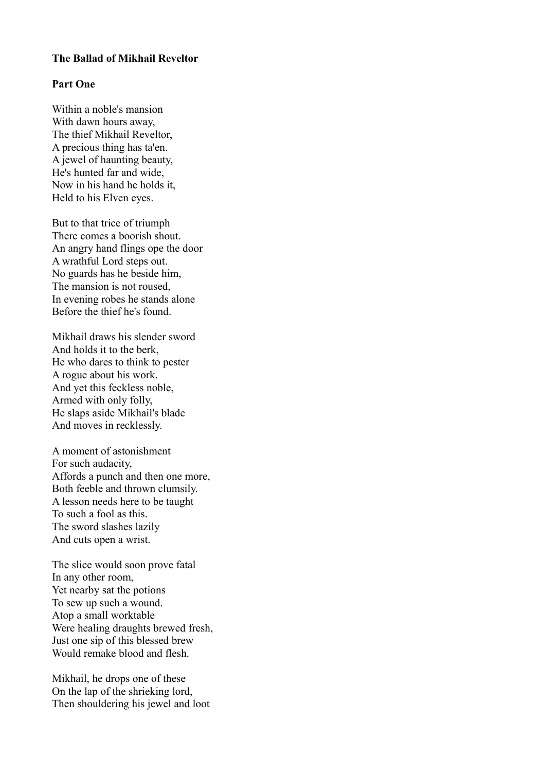## **The Ballad of Mikhail Reveltor**

## **Part One**

Within a noble's mansion With dawn hours away, The thief Mikhail Reveltor, A precious thing has ta'en. A jewel of haunting beauty, He's hunted far and wide, Now in his hand he holds it, Held to his Elven eyes.

But to that trice of triumph There comes a boorish shout. An angry hand flings ope the door A wrathful Lord steps out. No guards has he beside him, The mansion is not roused, In evening robes he stands alone Before the thief he's found.

Mikhail draws his slender sword And holds it to the berk, He who dares to think to pester A rogue about his work. And yet this feckless noble, Armed with only folly, He slaps aside Mikhail's blade And moves in recklessly.

A moment of astonishment For such audacity, Affords a punch and then one more, Both feeble and thrown clumsily. A lesson needs here to be taught To such a fool as this. The sword slashes lazily And cuts open a wrist.

The slice would soon prove fatal In any other room, Yet nearby sat the potions To sew up such a wound. Atop a small worktable Were healing draughts brewed fresh, Just one sip of this blessed brew Would remake blood and flesh.

Mikhail, he drops one of these On the lap of the shrieking lord, Then shouldering his jewel and loot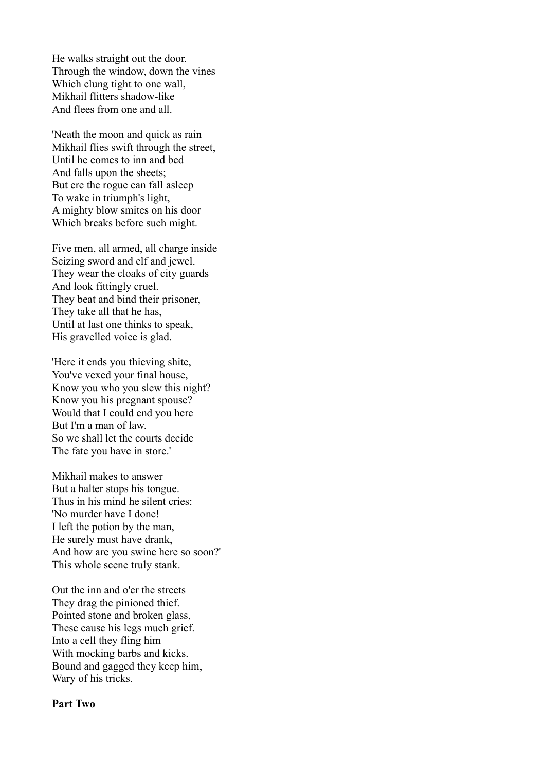He walks straight out the door. Through the window, down the vines Which clung tight to one wall, Mikhail flitters shadow-like And flees from one and all.

'Neath the moon and quick as rain Mikhail flies swift through the street, Until he comes to inn and bed And falls upon the sheets; But ere the rogue can fall asleep To wake in triumph's light, A mighty blow smites on his door Which breaks before such might.

Five men, all armed, all charge inside Seizing sword and elf and jewel. They wear the cloaks of city guards And look fittingly cruel. They beat and bind their prisoner, They take all that he has, Until at last one thinks to speak, His gravelled voice is glad.

'Here it ends you thieving shite, You've vexed your final house, Know you who you slew this night? Know you his pregnant spouse? Would that I could end you here But I'm a man of law. So we shall let the courts decide The fate you have in store.'

Mikhail makes to answer But a halter stops his tongue. Thus in his mind he silent cries: 'No murder have I done! I left the potion by the man, He surely must have drank, And how are you swine here so soon?' This whole scene truly stank.

Out the inn and o'er the streets They drag the pinioned thief. Pointed stone and broken glass, These cause his legs much grief. Into a cell they fling him With mocking barbs and kicks. Bound and gagged they keep him, Wary of his tricks.

## **Part Two**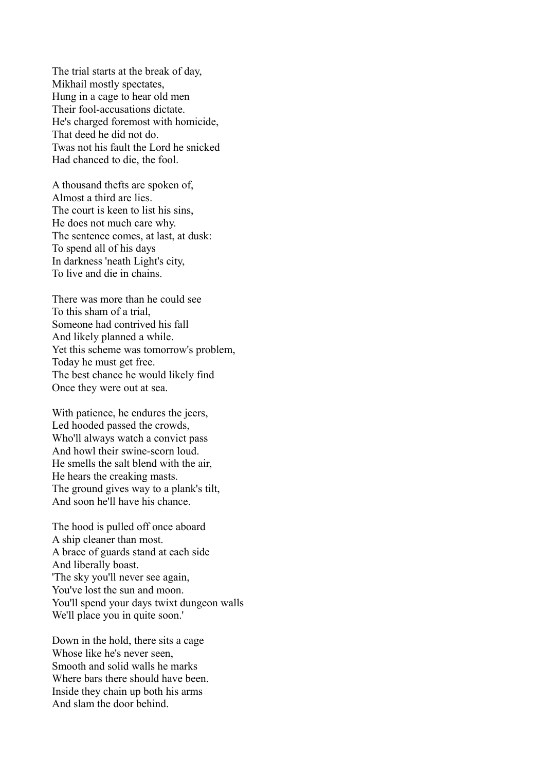The trial starts at the break of day, Mikhail mostly spectates, Hung in a cage to hear old men Their fool-accusations dictate. He's charged foremost with homicide, That deed he did not do. Twas not his fault the Lord he snicked Had chanced to die, the fool.

A thousand thefts are spoken of, Almost a third are lies. The court is keen to list his sins, He does not much care why. The sentence comes, at last, at dusk: To spend all of his days In darkness 'neath Light's city, To live and die in chains.

There was more than he could see To this sham of a trial, Someone had contrived his fall And likely planned a while. Yet this scheme was tomorrow's problem, Today he must get free. The best chance he would likely find Once they were out at sea.

With patience, he endures the jeers, Led hooded passed the crowds, Who'll always watch a convict pass And howl their swine-scorn loud. He smells the salt blend with the air, He hears the creaking masts. The ground gives way to a plank's tilt, And soon he'll have his chance.

The hood is pulled off once aboard A ship cleaner than most. A brace of guards stand at each side And liberally boast. 'The sky you'll never see again, You've lost the sun and moon. You'll spend your days twixt dungeon walls We'll place you in quite soon.'

Down in the hold, there sits a cage Whose like he's never seen, Smooth and solid walls he marks Where bars there should have been. Inside they chain up both his arms And slam the door behind.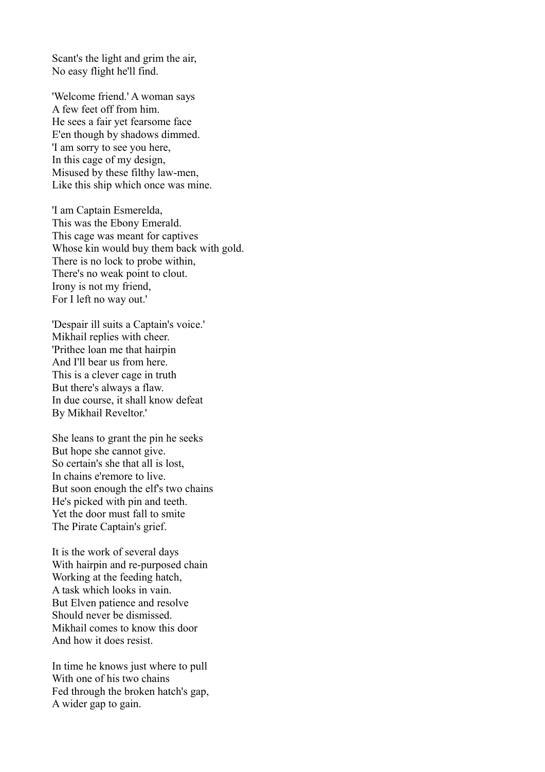Scant's the light and grim the air, No easy flight he'll find.

'Welcome friend.' A woman says A few feet off from him. He sees a fair yet fearsome face E'en though by shadows dimmed. 'I am sorry to see you here, In this cage of my design, Misused by these filthy law-men, Like this ship which once was mine.

'I am Captain Esmerelda, This was the Ebony Emerald. This cage was meant for captives Whose kin would buy them back with gold. There is no lock to probe within, There's no weak point to clout. Irony is not my friend, For I left no way out.'

'Despair ill suits a Captain's voice.' Mikhail replies with cheer. 'Prithee loan me that hairpin And I'll bear us from here. This is a clever cage in truth But there's always a flaw. In due course, it shall know defeat By Mikhail Reveltor.'

She leans to grant the pin he seeks But hope she cannot give. So certain's she that all is lost, In chains e'remore to live. But soon enough the elf's two chains He's picked with pin and teeth. Yet the door must fall to smite The Pirate Captain's grief.

It is the work of several days With hairpin and re-purposed chain Working at the feeding hatch, A task which looks in vain. But Elven patience and resolve Should never be dismissed. Mikhail comes to know this door And how it does resist.

In time he knows just where to pull With one of his two chains Fed through the broken hatch's gap, A wider gap to gain.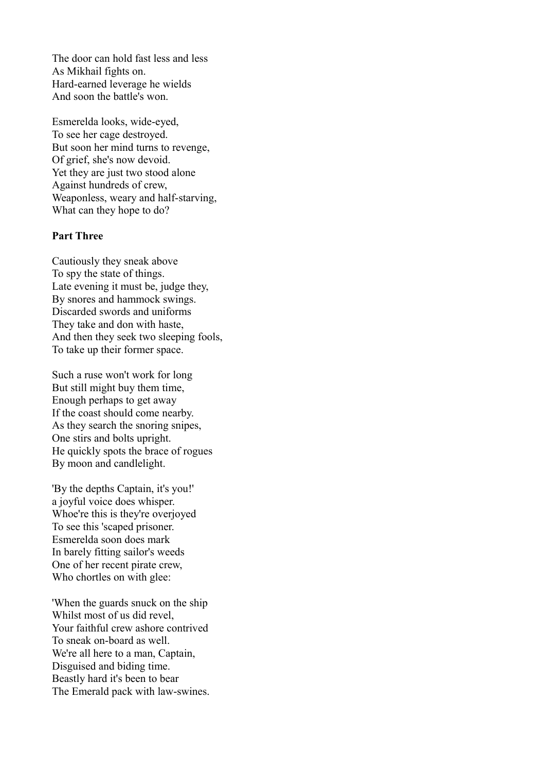The door can hold fast less and less As Mikhail fights on. Hard-earned leverage he wields And soon the battle's won.

Esmerelda looks, wide-eyed, To see her cage destroyed. But soon her mind turns to revenge, Of grief, she's now devoid. Yet they are just two stood alone Against hundreds of crew, Weaponless, weary and half-starving, What can they hope to do?

## **Part Three**

Cautiously they sneak above To spy the state of things. Late evening it must be, judge they, By snores and hammock swings. Discarded swords and uniforms They take and don with haste, And then they seek two sleeping fools, To take up their former space.

Such a ruse won't work for long But still might buy them time, Enough perhaps to get away If the coast should come nearby. As they search the snoring snipes, One stirs and bolts upright. He quickly spots the brace of rogues By moon and candlelight.

'By the depths Captain, it's you!' a joyful voice does whisper. Whoe're this is they're overjoyed To see this 'scaped prisoner. Esmerelda soon does mark In barely fitting sailor's weeds One of her recent pirate crew, Who chortles on with glee:

'When the guards snuck on the ship Whilst most of us did revel Your faithful crew ashore contrived To sneak on-board as well. We're all here to a man, Captain, Disguised and biding time. Beastly hard it's been to bear The Emerald pack with law-swines.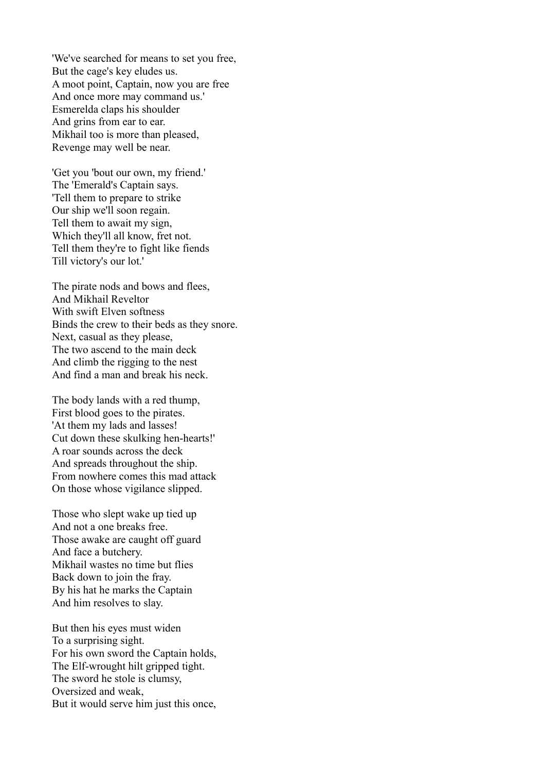'We've searched for means to set you free, But the cage's key eludes us. A moot point, Captain, now you are free And once more may command us.' Esmerelda claps his shoulder And grins from ear to ear. Mikhail too is more than pleased, Revenge may well be near.

'Get you 'bout our own, my friend.' The 'Emerald's Captain says. 'Tell them to prepare to strike Our ship we'll soon regain. Tell them to await my sign, Which they'll all know, fret not. Tell them they're to fight like fiends Till victory's our lot.'

The pirate nods and bows and flees, And Mikhail Reveltor With swift Elven softness Binds the crew to their beds as they snore. Next, casual as they please, The two ascend to the main deck And climb the rigging to the nest And find a man and break his neck.

The body lands with a red thump, First blood goes to the pirates. 'At them my lads and lasses! Cut down these skulking hen-hearts!' A roar sounds across the deck And spreads throughout the ship. From nowhere comes this mad attack On those whose vigilance slipped.

Those who slept wake up tied up And not a one breaks free. Those awake are caught off guard And face a butchery. Mikhail wastes no time but flies Back down to join the fray. By his hat he marks the Captain And him resolves to slay.

But then his eyes must widen To a surprising sight. For his own sword the Captain holds, The Elf-wrought hilt gripped tight. The sword he stole is clumsy, Oversized and weak, But it would serve him just this once,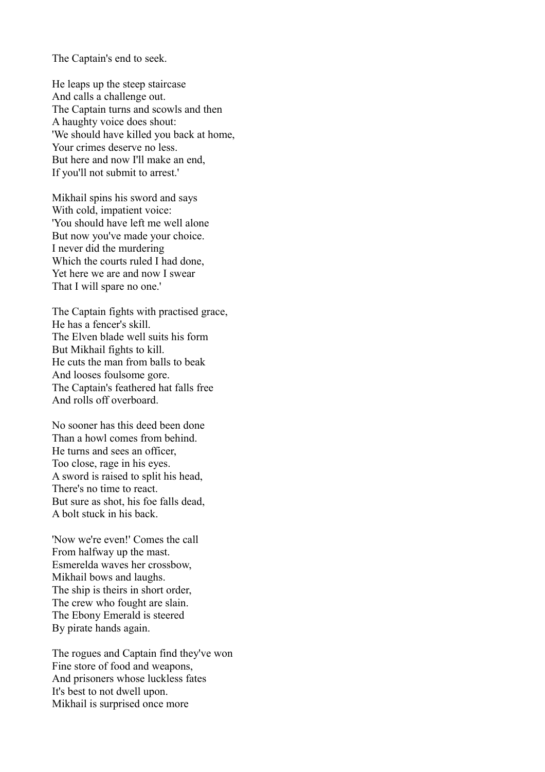The Captain's end to seek.

He leaps up the steep staircase And calls a challenge out. The Captain turns and scowls and then A haughty voice does shout: 'We should have killed you back at home, Your crimes deserve no less. But here and now I'll make an end, If you'll not submit to arrest.'

Mikhail spins his sword and says With cold, impatient voice: 'You should have left me well alone But now you've made your choice. I never did the murdering Which the courts ruled I had done, Yet here we are and now I swear That I will spare no one.'

The Captain fights with practised grace, He has a fencer's skill. The Elven blade well suits his form But Mikhail fights to kill. He cuts the man from balls to beak And looses foulsome gore. The Captain's feathered hat falls free And rolls off overboard.

No sooner has this deed been done Than a howl comes from behind. He turns and sees an officer, Too close, rage in his eyes. A sword is raised to split his head, There's no time to react. But sure as shot, his foe falls dead, A bolt stuck in his back.

'Now we're even!' Comes the call From halfway up the mast. Esmerelda waves her crossbow, Mikhail bows and laughs. The ship is theirs in short order, The crew who fought are slain. The Ebony Emerald is steered By pirate hands again.

The rogues and Captain find they've won Fine store of food and weapons, And prisoners whose luckless fates It's best to not dwell upon. Mikhail is surprised once more